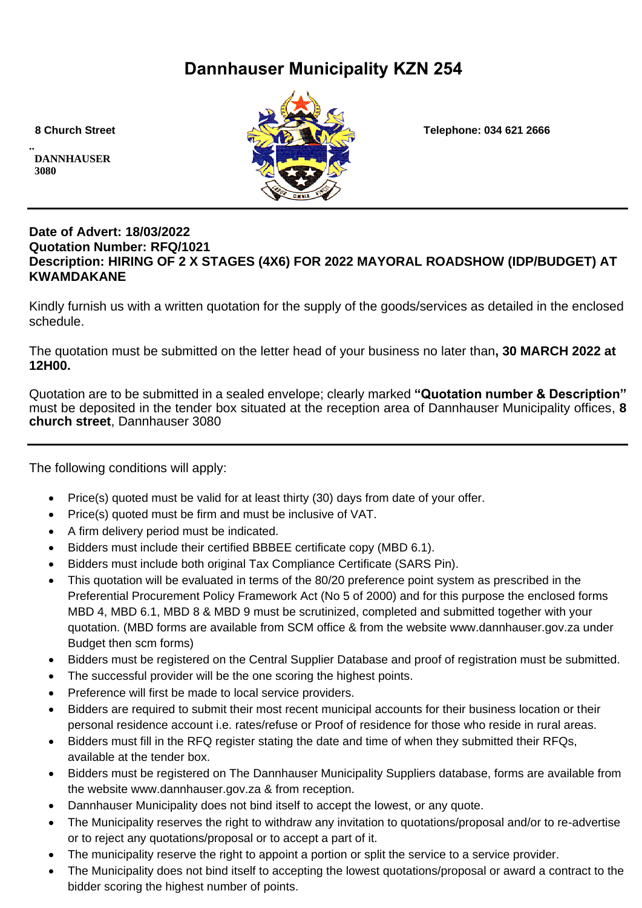# **Dannhauser Municipality KZN 254**

**.. DANNHAUSER 3080** 



 **8 Church Street Telephone: 034 621 2666**

#### **Date of Advert: 18/03/2022 Quotation Number: RFQ/1021 Description: HIRING OF 2 X STAGES (4X6) FOR 2022 MAYORAL ROADSHOW (IDP/BUDGET) AT KWAMDAKANE**

Kindly furnish us with a written quotation for the supply of the goods/services as detailed in the enclosed schedule.

The quotation must be submitted on the letter head of your business no later than**, 30 MARCH 2022 at 12H00.**

Quotation are to be submitted in a sealed envelope; clearly marked **"Quotation number & Description"** must be deposited in the tender box situated at the reception area of Dannhauser Municipality offices, **8 church street**, Dannhauser 3080

The following conditions will apply:

- Price(s) quoted must be valid for at least thirty (30) days from date of your offer.
- Price(s) quoted must be firm and must be inclusive of VAT.
- A firm delivery period must be indicated.
- Bidders must include their certified BBBEE certificate copy (MBD 6.1).
- Bidders must include both original Tax Compliance Certificate (SARS Pin).
- This quotation will be evaluated in terms of the 80/20 preference point system as prescribed in the Preferential Procurement Policy Framework Act (No 5 of 2000) and for this purpose the enclosed forms MBD 4, MBD 6.1, MBD 8 & MBD 9 must be scrutinized, completed and submitted together with your quotation. (MBD forms are available from SCM office & from the website www.dannhauser.gov.za under Budget then scm forms)
- Bidders must be registered on the Central Supplier Database and proof of registration must be submitted.
- The successful provider will be the one scoring the highest points.
- Preference will first be made to local service providers.
- Bidders are required to submit their most recent municipal accounts for their business location or their personal residence account i.e. rates/refuse or Proof of residence for those who reside in rural areas.
- Bidders must fill in the RFQ register stating the date and time of when they submitted their RFQs, available at the tender box.
- Bidders must be registered on The Dannhauser Municipality Suppliers database, forms are available from the website www.dannhauser.gov.za & from reception.
- Dannhauser Municipality does not bind itself to accept the lowest, or any quote.
- The Municipality reserves the right to withdraw any invitation to quotations/proposal and/or to re-advertise or to reject any quotations/proposal or to accept a part of it.
- The municipality reserve the right to appoint a portion or split the service to a service provider.
- The Municipality does not bind itself to accepting the lowest quotations/proposal or award a contract to the bidder scoring the highest number of points.